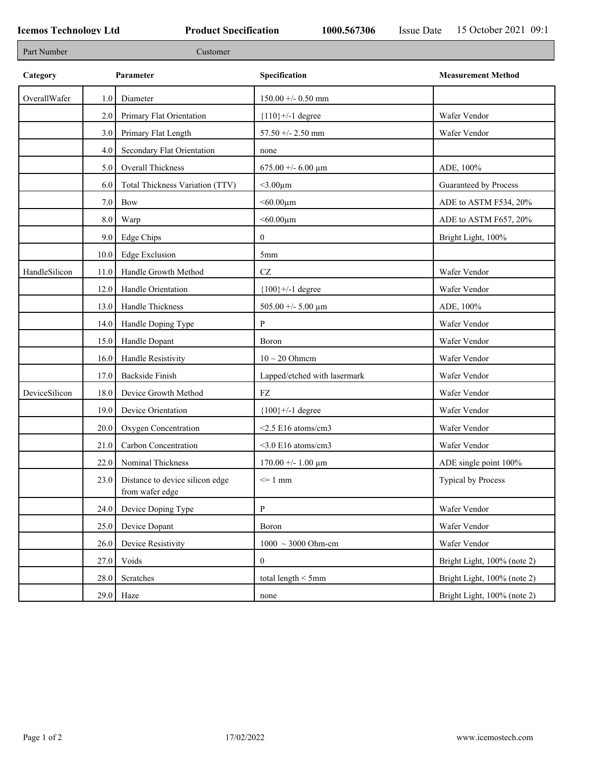| Part Number<br>Customer                                                                                |  |
|--------------------------------------------------------------------------------------------------------|--|
| Category<br>Specification<br><b>Measurement Method</b><br>Parameter                                    |  |
| OverallWafer<br>$150.00 +/- 0.50$ mm<br>1.0<br>Diameter                                                |  |
| Wafer Vendor<br>2.0<br>Primary Flat Orientation<br>${110}$ +/-1 degree                                 |  |
| Primary Flat Length<br>57.50 +/- 2.50 mm<br>Wafer Vendor<br>3.0                                        |  |
| Secondary Flat Orientation<br>4.0<br>none                                                              |  |
| Overall Thickness<br>675.00 +/- 6.00 $\mu$ m<br>ADE, 100%<br>5.0                                       |  |
| Total Thickness Variation (TTV)<br>$<$ 3.00 $\mu$ m<br>Guaranteed by Process<br>6.0                    |  |
| $< 60.00 \mu m$<br>ADE to ASTM F534, 20%<br>7.0<br>Bow                                                 |  |
| $8.0\,$<br>$< 60.00 \mu m$<br>ADE to ASTM F657, 20%<br>Warp                                            |  |
| 9.0<br>Edge Chips<br>$\boldsymbol{0}$<br>Bright Light, 100%                                            |  |
| <b>Edge Exclusion</b><br>10.0<br>5mm                                                                   |  |
| $\operatorname{CZ}$<br>Wafer Vendor<br>HandleSilicon<br>Handle Growth Method<br>11.0                   |  |
| Handle Orientation<br>${100}$ +/-1 degree<br>Wafer Vendor<br>12.0                                      |  |
| Handle Thickness<br>13.0<br>505.00 +/- 5.00 $\mu$ m<br>ADE, 100%                                       |  |
| 14.0<br>Handle Doping Type<br>P<br>Wafer Vendor                                                        |  |
| 15.0<br>Handle Dopant<br>Wafer Vendor<br>Boron                                                         |  |
| Handle Resistivity<br>$10 \sim 20$ Ohmem<br>Wafer Vendor<br>16.0                                       |  |
| <b>Backside Finish</b><br>Lapped/etched with lasermark<br>Wafer Vendor<br>17.0                         |  |
| DeviceSilicon<br>18.0<br>Device Growth Method<br>${\rm FZ}$<br>Wafer Vendor                            |  |
| 19.0<br>Device Orientation<br>${100}$ +/-1 degree<br>Wafer Vendor                                      |  |
| 20.0<br>Oxygen Concentration<br>$<$ 2.5 E16 atoms/cm3<br>Wafer Vendor                                  |  |
| Carbon Concentration<br>$<$ 3.0 E16 atoms/cm3<br>Wafer Vendor<br>21.0                                  |  |
| Nominal Thickness<br>22.0<br>$170.00 +/- 1.00 \mu m$<br>ADE single point 100%                          |  |
| Distance to device silicon edge<br><b>Typical by Process</b><br>$\leq 1$ mm<br>23.0<br>from wafer edge |  |
| $\mathbf{P}$<br>Wafer Vendor<br>Device Doping Type<br>24.0                                             |  |
| Wafer Vendor<br>25.0<br>Device Dopant<br>Boron                                                         |  |
| Device Resistivity<br>$1000 \sim 3000$ Ohm-cm<br>Wafer Vendor<br>26.0                                  |  |
| Voids<br>Bright Light, 100% (note 2)<br>27.0<br>$\mathbf{0}$                                           |  |
| Scratches<br>total length $<$ 5mm<br>28.0<br>Bright Light, 100% (note 2)                               |  |
| $29.0$ Haze<br>Bright Light, 100% (note 2)<br>none                                                     |  |